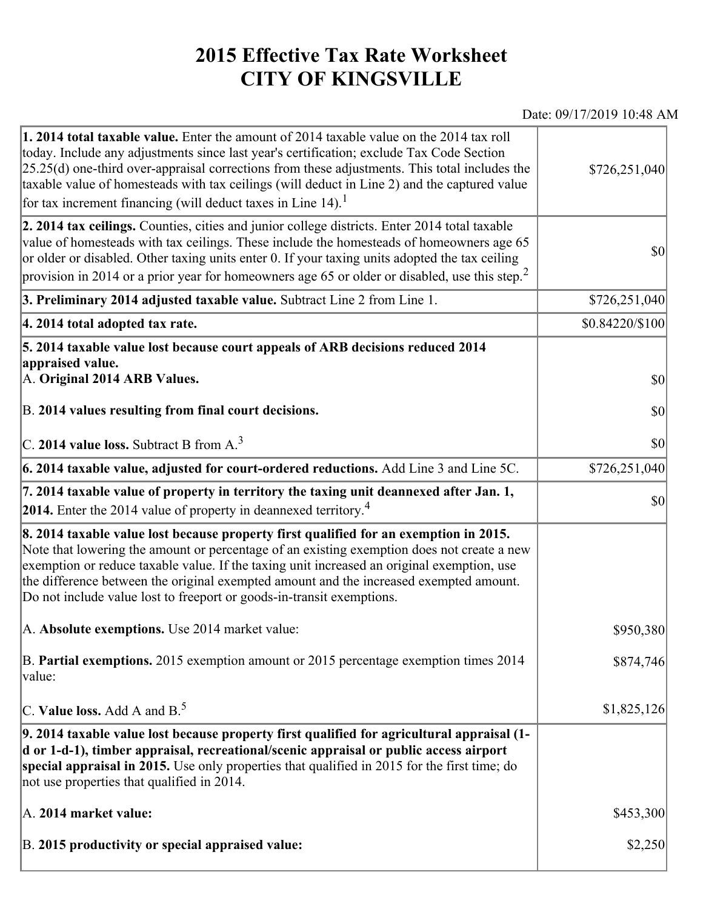## **2015 Effective Tax Rate Worksheet CITY OF KINGSVILLE**

## Date: 09/17/2019 10:48 AM

| 1. 2014 total taxable value. Enter the amount of 2014 taxable value on the 2014 tax roll<br>today. Include any adjustments since last year's certification; exclude Tax Code Section<br>$[25.25(d)$ one-third over-appraisal corrections from these adjustments. This total includes the<br>taxable value of homesteads with tax ceilings (will deduct in Line 2) and the captured value<br>for tax increment financing (will deduct taxes in Line $14$ ). <sup>1</sup> | \$726,251,040   |
|-------------------------------------------------------------------------------------------------------------------------------------------------------------------------------------------------------------------------------------------------------------------------------------------------------------------------------------------------------------------------------------------------------------------------------------------------------------------------|-----------------|
| 2. 2014 tax ceilings. Counties, cities and junior college districts. Enter 2014 total taxable<br>value of homesteads with tax ceilings. These include the homesteads of homeowners age 65<br>or older or disabled. Other taxing units enter 0. If your taxing units adopted the tax ceiling<br>provision in 2014 or a prior year for homeowners age 65 or older or disabled, use this step. <sup>2</sup>                                                                | 30              |
| 3. Preliminary 2014 adjusted taxable value. Subtract Line 2 from Line 1.                                                                                                                                                                                                                                                                                                                                                                                                | \$726,251,040   |
| 4. 2014 total adopted tax rate.                                                                                                                                                                                                                                                                                                                                                                                                                                         | \$0.84220/\$100 |
| 5. 2014 taxable value lost because court appeals of ARB decisions reduced 2014<br>appraised value.<br>A. Original 2014 ARB Values.                                                                                                                                                                                                                                                                                                                                      | $ 10\rangle$    |
| B. 2014 values resulting from final court decisions.                                                                                                                                                                                                                                                                                                                                                                                                                    | 30              |
| C. 2014 value loss. Subtract B from $A3$                                                                                                                                                                                                                                                                                                                                                                                                                                | \$0             |
| 6. 2014 taxable value, adjusted for court-ordered reductions. Add Line 3 and Line 5C.                                                                                                                                                                                                                                                                                                                                                                                   | \$726,251,040   |
| 7. 2014 taxable value of property in territory the taxing unit deannexed after Jan. 1,<br>2014. Enter the 2014 value of property in deannexed territory. <sup>4</sup>                                                                                                                                                                                                                                                                                                   | $ 10\rangle$    |
| 8. 2014 taxable value lost because property first qualified for an exemption in 2015.<br>Note that lowering the amount or percentage of an existing exemption does not create a new<br>exemption or reduce taxable value. If the taxing unit increased an original exemption, use<br>the difference between the original exempted amount and the increased exempted amount.<br>Do not include value lost to freeport or goods-in-transit exemptions.                    |                 |
| A. Absolute exemptions. Use 2014 market value:                                                                                                                                                                                                                                                                                                                                                                                                                          | \$950,380       |
| B. Partial exemptions. 2015 exemption amount or 2015 percentage exemption times 2014<br>value:                                                                                                                                                                                                                                                                                                                                                                          | \$874,746       |
| C. Value loss. Add A and $B^5$ .                                                                                                                                                                                                                                                                                                                                                                                                                                        | \$1,825,126     |
| 9. 2014 taxable value lost because property first qualified for agricultural appraisal (1-<br>d or 1-d-1), timber appraisal, recreational/scenic appraisal or public access airport<br>special appraisal in 2015. Use only properties that qualified in 2015 for the first time; do<br>not use properties that qualified in 2014.                                                                                                                                       |                 |
| A. 2014 market value:                                                                                                                                                                                                                                                                                                                                                                                                                                                   | \$453,300       |
| B. 2015 productivity or special appraised value:                                                                                                                                                                                                                                                                                                                                                                                                                        | \$2,250         |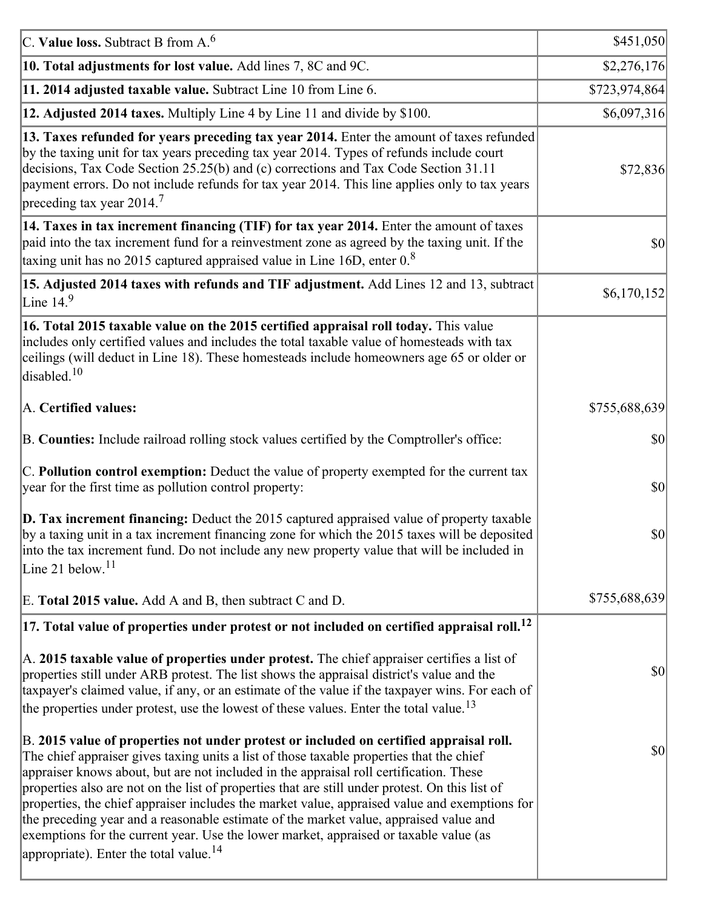| C. Value loss. Subtract B from $A6$                                                                                                                                                                                                                                                                                                                                                                                                                                                                                                                                                                                                                                                                                      | \$451,050     |
|--------------------------------------------------------------------------------------------------------------------------------------------------------------------------------------------------------------------------------------------------------------------------------------------------------------------------------------------------------------------------------------------------------------------------------------------------------------------------------------------------------------------------------------------------------------------------------------------------------------------------------------------------------------------------------------------------------------------------|---------------|
| 10. Total adjustments for lost value. Add lines 7, 8C and 9C.                                                                                                                                                                                                                                                                                                                                                                                                                                                                                                                                                                                                                                                            | \$2,276,176   |
| 11. 2014 adjusted taxable value. Subtract Line 10 from Line 6.                                                                                                                                                                                                                                                                                                                                                                                                                                                                                                                                                                                                                                                           | \$723,974,864 |
| 12. Adjusted 2014 taxes. Multiply Line 4 by Line 11 and divide by \$100.                                                                                                                                                                                                                                                                                                                                                                                                                                                                                                                                                                                                                                                 | \$6,097,316   |
| 13. Taxes refunded for years preceding tax year 2014. Enter the amount of taxes refunded<br>by the taxing unit for tax years preceding tax year 2014. Types of refunds include court<br>decisions, Tax Code Section 25.25(b) and (c) corrections and Tax Code Section 31.11<br>payment errors. Do not include refunds for tax year 2014. This line applies only to tax years<br>preceding tax year 2014. <sup>7</sup>                                                                                                                                                                                                                                                                                                    | \$72,836      |
| 14. Taxes in tax increment financing (TIF) for tax year 2014. Enter the amount of taxes<br>paid into the tax increment fund for a reinvestment zone as agreed by the taxing unit. If the<br>taxing unit has no 2015 captured appraised value in Line 16D, enter $08$                                                                                                                                                                                                                                                                                                                                                                                                                                                     | $ 10\rangle$  |
| 15. Adjusted 2014 taxes with refunds and TIF adjustment. Add Lines 12 and 13, subtract<br>Line $149$                                                                                                                                                                                                                                                                                                                                                                                                                                                                                                                                                                                                                     | \$6,170,152   |
| 16. Total 2015 taxable value on the 2015 certified appraisal roll today. This value<br>includes only certified values and includes the total taxable value of homesteads with tax<br>ceilings (will deduct in Line 18). These homesteads include homeowners age 65 or older or<br>disabled. <sup>10</sup>                                                                                                                                                                                                                                                                                                                                                                                                                |               |
| A. Certified values:                                                                                                                                                                                                                                                                                                                                                                                                                                                                                                                                                                                                                                                                                                     | \$755,688,639 |
| B. Counties: Include railroad rolling stock values certified by the Comptroller's office:                                                                                                                                                                                                                                                                                                                                                                                                                                                                                                                                                                                                                                | \$0           |
| C. Pollution control exemption: Deduct the value of property exempted for the current tax<br>year for the first time as pollution control property:                                                                                                                                                                                                                                                                                                                                                                                                                                                                                                                                                                      | $ 10\rangle$  |
| $\vert$ D. Tax increment financing: Deduct the 2015 captured appraised value of property taxable<br>by a taxing unit in a tax increment financing zone for which the 2015 taxes will be deposited<br>into the tax increment fund. Do not include any new property value that will be included in<br>Line 21 below. <sup>11</sup>                                                                                                                                                                                                                                                                                                                                                                                         | \$0           |
| E. Total 2015 value. Add A and B, then subtract C and D.                                                                                                                                                                                                                                                                                                                                                                                                                                                                                                                                                                                                                                                                 | \$755,688,639 |
| $ 17.$ Total value of properties under protest or not included on certified appraisal roll. $^{12}$                                                                                                                                                                                                                                                                                                                                                                                                                                                                                                                                                                                                                      |               |
| A. 2015 taxable value of properties under protest. The chief appraiser certifies a list of<br>properties still under ARB protest. The list shows the appraisal district's value and the<br>taxpayer's claimed value, if any, or an estimate of the value if the taxpayer wins. For each of<br>the properties under protest, use the lowest of these values. Enter the total value. <sup>13</sup>                                                                                                                                                                                                                                                                                                                         | $ 10\rangle$  |
| B. 2015 value of properties not under protest or included on certified appraisal roll.<br>The chief appraiser gives taxing units a list of those taxable properties that the chief<br>appraiser knows about, but are not included in the appraisal roll certification. These<br>properties also are not on the list of properties that are still under protest. On this list of<br>properties, the chief appraiser includes the market value, appraised value and exemptions for<br>the preceding year and a reasonable estimate of the market value, appraised value and<br>exemptions for the current year. Use the lower market, appraised or taxable value (as<br>appropriate). Enter the total value. <sup>14</sup> | 30            |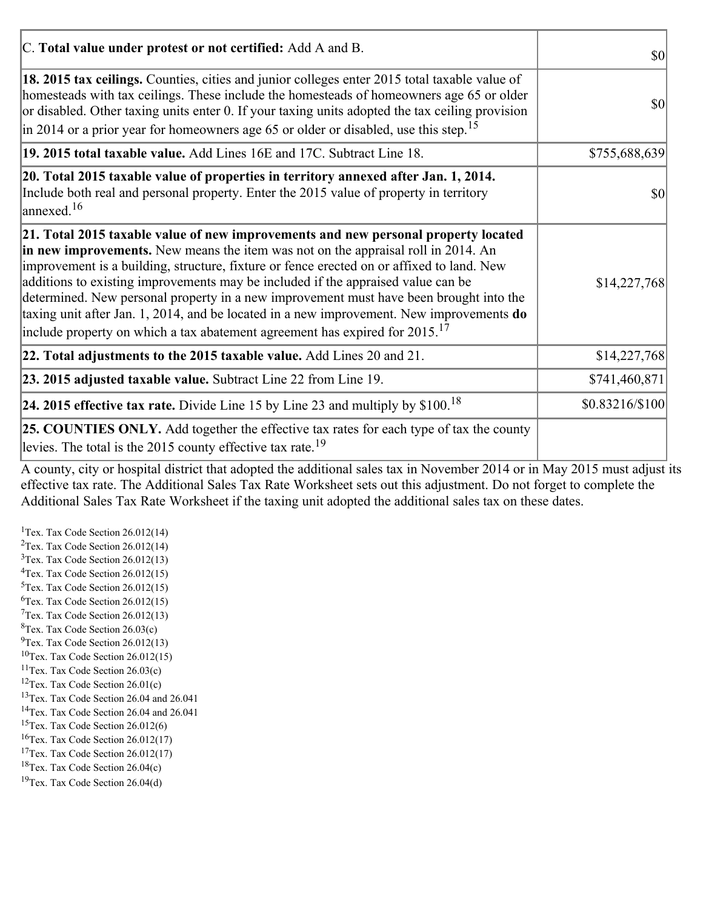| C. Total value under protest or not certified: Add A and B.                                                                                                                                                                                                                                                                                                                                                                                                                                                                                                                                                                                  | <b>\$0</b>      |
|----------------------------------------------------------------------------------------------------------------------------------------------------------------------------------------------------------------------------------------------------------------------------------------------------------------------------------------------------------------------------------------------------------------------------------------------------------------------------------------------------------------------------------------------------------------------------------------------------------------------------------------------|-----------------|
| 18. 2015 tax ceilings. Counties, cities and junior colleges enter 2015 total taxable value of<br>homesteads with tax ceilings. These include the homesteads of homeowners age 65 or older<br>or disabled. Other taxing units enter 0. If your taxing units adopted the tax ceiling provision<br>$\vert$ in 2014 or a prior year for homeowners age 65 or older or disabled, use this step. <sup>15</sup>                                                                                                                                                                                                                                     | $ 10\rangle$    |
| 19. 2015 total taxable value. Add Lines 16E and 17C. Subtract Line 18.                                                                                                                                                                                                                                                                                                                                                                                                                                                                                                                                                                       | \$755,688,639   |
| 20. Total 2015 taxable value of properties in territory annexed after Jan. 1, 2014.<br>Include both real and personal property. Enter the 2015 value of property in territory<br>$\frac{16}{2}$                                                                                                                                                                                                                                                                                                                                                                                                                                              | $ 10\rangle$    |
| 21. Total 2015 taxable value of new improvements and new personal property located<br>in new improvements. New means the item was not on the appraisal roll in 2014. An<br>improvement is a building, structure, fixture or fence erected on or affixed to land. New<br>additions to existing improvements may be included if the appraised value can be<br>determined. New personal property in a new improvement must have been brought into the<br>taxing unit after Jan. 1, 2014, and be located in a new improvement. New improvements do<br>include property on which a tax abatement agreement has expired for $2015$ . <sup>17</sup> | \$14,227,768    |
| 22. Total adjustments to the 2015 taxable value. Add Lines 20 and 21.                                                                                                                                                                                                                                                                                                                                                                                                                                                                                                                                                                        | \$14,227,768    |
| 23. 2015 adjusted taxable value. Subtract Line 22 from Line 19.                                                                                                                                                                                                                                                                                                                                                                                                                                                                                                                                                                              | \$741,460,871   |
| 24. 2015 effective tax rate. Divide Line 15 by Line 23 and multiply by $$100$ . <sup>18</sup>                                                                                                                                                                                                                                                                                                                                                                                                                                                                                                                                                | \$0.83216/\$100 |
| <b>25. COUNTIES ONLY.</b> Add together the effective tax rates for each type of tax the county<br>levies. The total is the 2015 county effective tax rate. <sup>19</sup>                                                                                                                                                                                                                                                                                                                                                                                                                                                                     |                 |

A county, city or hospital district that adopted the additional sales tax in November 2014 or in May 2015 must adjust its effective tax rate. The Additional Sales Tax Rate Worksheet sets out this adjustment. Do not forget to complete the Additional Sales Tax Rate Worksheet if the taxing unit adopted the additional sales tax on these dates.

<sup>1</sup>Tex. Tax Code Section  $26.012(14)$ <sup>2</sup>Tex. Tax Code Section  $26.012(14)$  $3$ Tex. Tax Code Section 26.012(13)  ${}^{4}$ Tex. Tax Code Section 26.012(15)  $5$ Tex. Tax Code Section 26.012(15)  ${}^{6}$ Tex. Tax Code Section 26.012(15)  $7$ Tex. Tax Code Section 26.012(13)  ${}^{8}$ Tex. Tax Code Section 26.03(c)  $^{9}$ Tex. Tax Code Section 26.012(13)  $10$ Tex. Tax Code Section 26.012(15) <sup>11</sup>Tex. Tax Code Section  $26.03(c)$ <sup>12</sup>Tex. Tax Code Section  $26.01(c)$ <sup>13</sup>Tex. Tax Code Section 26.04 and 26.041 <sup>14</sup>Tex. Tax Code Section 26.04 and 26.041 <sup>15</sup>Tex. Tax Code Section  $26.012(6)$  $16$ Tex. Tax Code Section 26.012(17) <sup>17</sup>Tex. Tax Code Section  $26.012(17)$ <sup>18</sup>Tex. Tax Code Section 26.04(c) <sup>19</sup>Tex. Tax Code Section 26.04(d)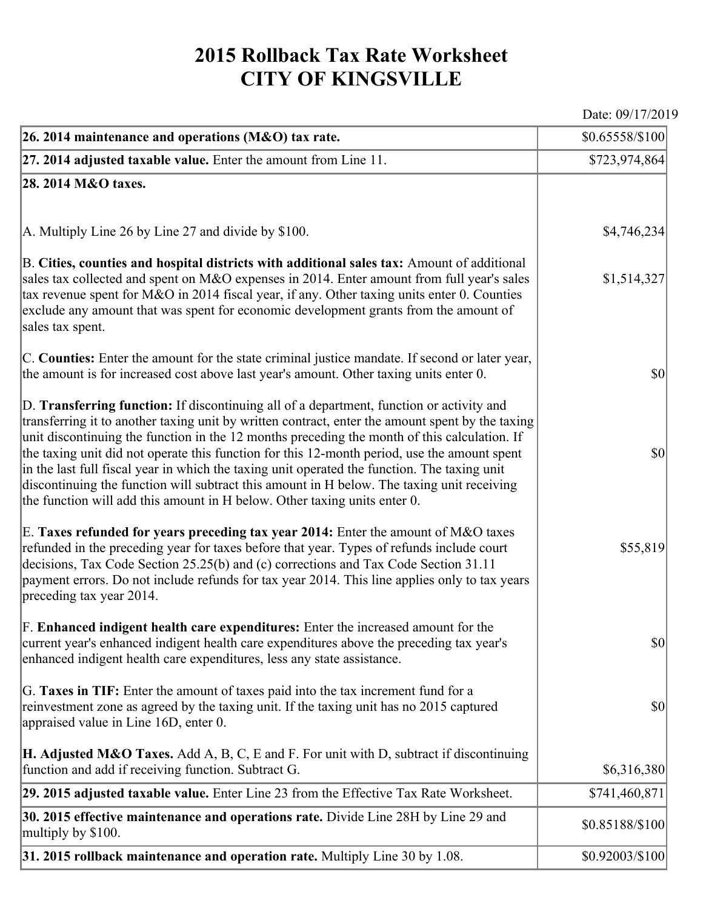## **2015 Rollback Tax Rate Worksheet CITY OF KINGSVILLE**

Date: 09/17/2019

| 26. 2014 maintenance and operations (M&O) tax rate.                                                                                                                                                                                                                                                                                                                                                                                                                                                                                                                                                                                                                     | \$0.65558/\$100]                    |
|-------------------------------------------------------------------------------------------------------------------------------------------------------------------------------------------------------------------------------------------------------------------------------------------------------------------------------------------------------------------------------------------------------------------------------------------------------------------------------------------------------------------------------------------------------------------------------------------------------------------------------------------------------------------------|-------------------------------------|
| $ 27.2014$ adjusted taxable value. Enter the amount from Line 11.                                                                                                                                                                                                                                                                                                                                                                                                                                                                                                                                                                                                       | \$723,974,864                       |
| 28. 2014 M&O taxes.                                                                                                                                                                                                                                                                                                                                                                                                                                                                                                                                                                                                                                                     |                                     |
|                                                                                                                                                                                                                                                                                                                                                                                                                                                                                                                                                                                                                                                                         |                                     |
| $ A$ . Multiply Line 26 by Line 27 and divide by \$100.                                                                                                                                                                                                                                                                                                                                                                                                                                                                                                                                                                                                                 | \$4,746,234                         |
| B. Cities, counties and hospital districts with additional sales tax: Amount of additional<br>sales tax collected and spent on M&O expenses in 2014. Enter amount from full year's sales<br>tax revenue spent for M&O in 2014 fiscal year, if any. Other taxing units enter 0. Counties<br>exclude any amount that was spent for economic development grants from the amount of<br>sales tax spent.                                                                                                                                                                                                                                                                     | \$1,514,327                         |
| C. Counties: Enter the amount for the state criminal justice mandate. If second or later year,<br>the amount is for increased cost above last year's amount. Other taxing units enter 0.                                                                                                                                                                                                                                                                                                                                                                                                                                                                                | $ 10\rangle$                        |
| D. Transferring function: If discontinuing all of a department, function or activity and<br>transferring it to another taxing unit by written contract, enter the amount spent by the taxing<br>unit discontinuing the function in the 12 months preceding the month of this calculation. If<br>the taxing unit did not operate this function for this 12-month period, use the amount spent<br>in the last full fiscal year in which the taxing unit operated the function. The taxing unit<br>discontinuing the function will subtract this amount in H below. The taxing unit receiving<br>the function will add this amount in H below. Other taxing units enter 0. | $ 10\rangle$                        |
| E. Taxes refunded for years preceding tax year 2014: Enter the amount of M&O taxes<br>refunded in the preceding year for taxes before that year. Types of refunds include court<br>decisions, Tax Code Section 25.25(b) and (c) corrections and Tax Code Section 31.11<br>payment errors. Do not include refunds for tax year 2014. This line applies only to tax years<br>preceding tax year 2014.                                                                                                                                                                                                                                                                     | \$55,819                            |
| F. Enhanced indigent health care expenditures: Enter the increased amount for the<br>current year's enhanced indigent health care expenditures above the preceding tax year's<br>enhanced indigent health care expenditures, less any state assistance.                                                                                                                                                                                                                                                                                                                                                                                                                 | $\vert \mathbf{S} \mathbf{0} \vert$ |
| G. Taxes in TIF: Enter the amount of taxes paid into the tax increment fund for a<br>reinvestment zone as agreed by the taxing unit. If the taxing unit has no 2015 captured<br>appraised value in Line 16D, enter 0.                                                                                                                                                                                                                                                                                                                                                                                                                                                   | $ 10\rangle$                        |
| <b>H. Adjusted M&amp;O Taxes.</b> Add A, B, C, E and F. For unit with D, subtract if discontinuing<br>function and add if receiving function. Subtract G.                                                                                                                                                                                                                                                                                                                                                                                                                                                                                                               | \$6,316,380                         |
| 29. 2015 adjusted taxable value. Enter Line 23 from the Effective Tax Rate Worksheet.                                                                                                                                                                                                                                                                                                                                                                                                                                                                                                                                                                                   | \$741,460,871                       |
| 30. 2015 effective maintenance and operations rate. Divide Line 28H by Line 29 and<br>multiply by \$100.                                                                                                                                                                                                                                                                                                                                                                                                                                                                                                                                                                | \$0.85188/\$100                     |
| 31. 2015 rollback maintenance and operation rate. Multiply Line 30 by 1.08.                                                                                                                                                                                                                                                                                                                                                                                                                                                                                                                                                                                             | \$0.92003/\$100                     |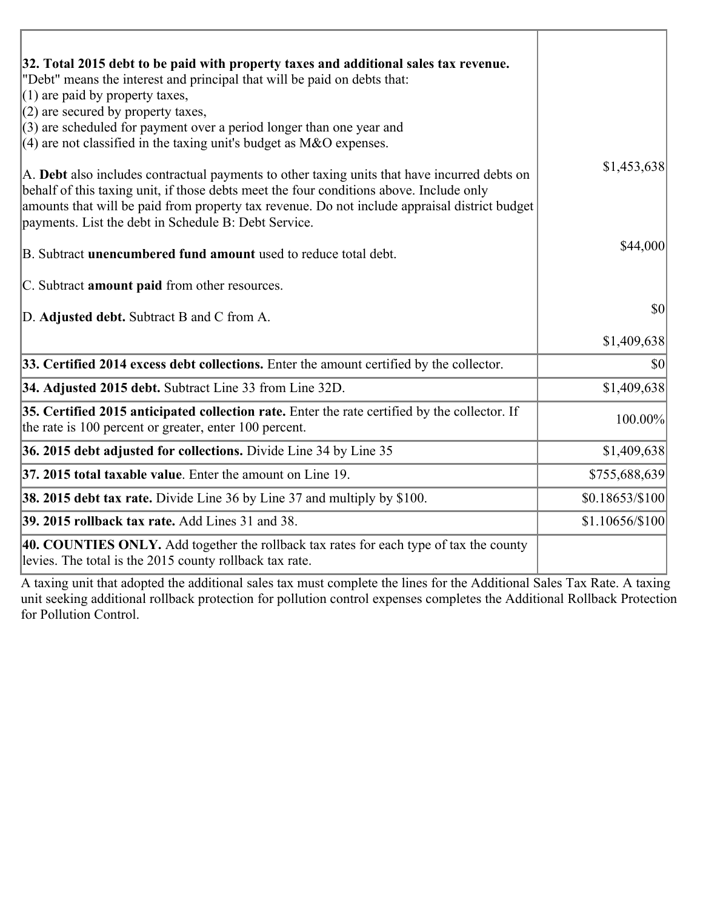| 32. Total 2015 debt to be paid with property taxes and additional sales tax revenue.<br>"Debt" means the interest and principal that will be paid on debts that:<br>$(1)$ are paid by property taxes,                                                                                                                                            |                 |
|--------------------------------------------------------------------------------------------------------------------------------------------------------------------------------------------------------------------------------------------------------------------------------------------------------------------------------------------------|-----------------|
| $(2)$ are secured by property taxes,                                                                                                                                                                                                                                                                                                             |                 |
| $(3)$ are scheduled for payment over a period longer than one year and<br>$(4)$ are not classified in the taxing unit's budget as M&O expenses.                                                                                                                                                                                                  |                 |
| A. Debt also includes contractual payments to other taxing units that have incurred debts on<br>behalf of this taxing unit, if those debts meet the four conditions above. Include only<br>amounts that will be paid from property tax revenue. Do not include appraisal district budget<br>payments. List the debt in Schedule B: Debt Service. | \$1,453,638     |
| B. Subtract unencumbered fund amount used to reduce total debt.                                                                                                                                                                                                                                                                                  | \$44,000        |
| C. Subtract <b>amount paid</b> from other resources.                                                                                                                                                                                                                                                                                             |                 |
| D. Adjusted debt. Subtract B and C from A.                                                                                                                                                                                                                                                                                                       | \$0             |
|                                                                                                                                                                                                                                                                                                                                                  | \$1,409,638     |
| 33. Certified 2014 excess debt collections. Enter the amount certified by the collector.                                                                                                                                                                                                                                                         | \$0             |
| 34. Adjusted 2015 debt. Subtract Line 33 from Line 32D.                                                                                                                                                                                                                                                                                          | \$1,409,638     |
| 35. Certified 2015 anticipated collection rate. Enter the rate certified by the collector. If<br>the rate is 100 percent or greater, enter 100 percent.                                                                                                                                                                                          | 100.00%         |
| 36. 2015 debt adjusted for collections. Divide Line 34 by Line 35                                                                                                                                                                                                                                                                                | \$1,409,638     |
| 37. 2015 total taxable value. Enter the amount on Line 19.                                                                                                                                                                                                                                                                                       | \$755,688,639   |
| <b>38. 2015 debt tax rate.</b> Divide Line 36 by Line 37 and multiply by \$100.                                                                                                                                                                                                                                                                  | \$0.18653/\$100 |
| 39. 2015 rollback tax rate. Add Lines 31 and 38.                                                                                                                                                                                                                                                                                                 | \$1.10656/\$100 |
| 40. COUNTIES ONLY. Add together the rollback tax rates for each type of tax the county<br>levies. The total is the 2015 county rollback tax rate.                                                                                                                                                                                                |                 |

A taxing unit that adopted the additional sales tax must complete the lines for the Additional Sales Tax Rate. A taxing unit seeking additional rollback protection for pollution control expenses completes the Additional Rollback Protection for Pollution Control.